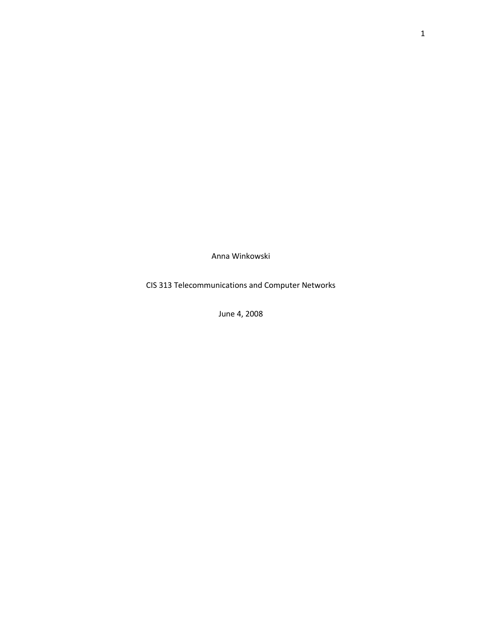Anna Winkowski

CIS 313 Telecommunications and Computer Networks

June 4, 2008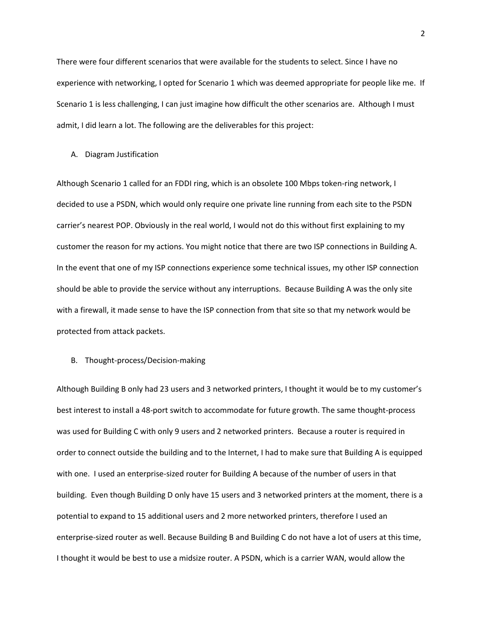There were four different scenarios that were available for the students to select. Since I have no experience with networking, I opted for Scenario 1 which was deemed appropriate for people like me. If Scenario 1 is less challenging, I can just imagine how difficult the other scenarios are. Although I must admit, I did learn a lot. The following are the deliverables for this project:

#### A. Diagram Justification

Although Scenario 1 called for an FDDI ring, which is an obsolete 100 Mbps token-ring network, I decided to use a PSDN, which would only require one private line running from each site to the PSDN carrier's nearest POP. Obviously in the real world, I would not do this without first explaining to my customer the reason for my actions. You might notice that there are two ISP connections in Building A. In the event that one of my ISP connections experience some technical issues, my other ISP connection should be able to provide the service without any interruptions. Because Building A was the only site with a firewall, it made sense to have the ISP connection from that site so that my network would be protected from attack packets.

### B. Thought-process/Decision-making

Although Building B only had 23 users and 3 networked printers, I thought it would be to my customer's best interest to install a 48-port switch to accommodate for future growth. The same thought-process was used for Building C with only 9 users and 2 networked printers. Because a router is required in order to connect outside the building and to the Internet, I had to make sure that Building A is equipped with one. I used an enterprise-sized router for Building A because of the number of users in that building. Even though Building D only have 15 users and 3 networked printers at the moment, there is a potential to expand to 15 additional users and 2 more networked printers, therefore I used an enterprise-sized router as well. Because Building B and Building C do not have a lot of users at this time, I thought it would be best to use a midsize router. A PSDN, which is a carrier WAN, would allow the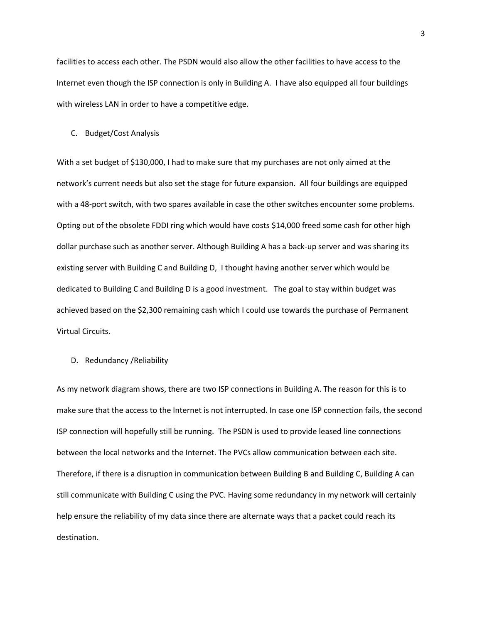facilities to access each other. The PSDN would also allow the other facilities to have access to the Internet even though the ISP connection is only in Building A. I have also equipped all four buildings with wireless LAN in order to have a competitive edge.

### C. Budget/Cost Analysis

With a set budget of \$130,000, I had to make sure that my purchases are not only aimed at the network's current needs but also set the stage for future expansion. All four buildings are equipped with a 48-port switch, with two spares available in case the other switches encounter some problems. Opting out of the obsolete FDDI ring which would have costs \$14,000 freed some cash for other high dollar purchase such as another server. Although Building A has a back-up server and was sharing its existing server with Building C and Building D, I thought having another server which would be dedicated to Building C and Building D is a good investment. The goal to stay within budget was achieved based on the \$2,300 remaining cash which I could use towards the purchase of Permanent Virtual Circuits.

## D. Redundancy /Reliability

As my network diagram shows, there are two ISP connections in Building A. The reason for this is to make sure that the access to the Internet is not interrupted. In case one ISP connection fails, the second ISP connection will hopefully still be running. The PSDN is used to provide leased line connections between the local networks and the Internet. The PVCs allow communication between each site. Therefore, if there is a disruption in communication between Building B and Building C, Building A can still communicate with Building C using the PVC. Having some redundancy in my network will certainly help ensure the reliability of my data since there are alternate ways that a packet could reach its destination.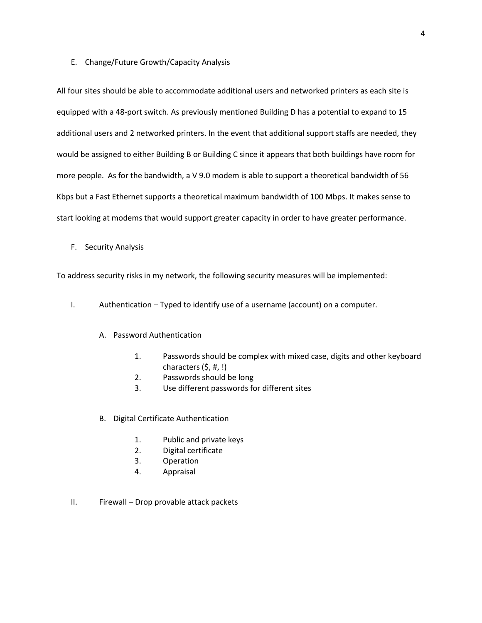### E. Change/Future Growth/Capacity Analysis

All four sites should be able to accommodate additional users and networked printers as each site is equipped with a 48-port switch. As previously mentioned Building D has a potential to expand to 15 additional users and 2 networked printers. In the event that additional support staffs are needed, they would be assigned to either Building B or Building C since it appears that both buildings have room for more people. As for the bandwidth, a V 9.0 modem is able to support a theoretical bandwidth of 56 Kbps but a Fast Ethernet supports a theoretical maximum bandwidth of 100 Mbps. It makes sense to start looking at modems that would support greater capacity in order to have greater performance.

F. Security Analysis

To address security risks in my network, the following security measures will be implemented:

- I. Authentication Typed to identify use of a username (account) on a computer.
	- A. Password Authentication
		- 1. Passwords should be complex with mixed case, digits and other keyboard characters (\$, #, !)
		- 2. Passwords should be long
		- 3. Use different passwords for different sites
	- B. Digital Certificate Authentication
		- 1. Public and private keys
		- 2. Digital certificate
		- 3. Operation
		- 4. Appraisal
- II. Firewall Drop provable attack packets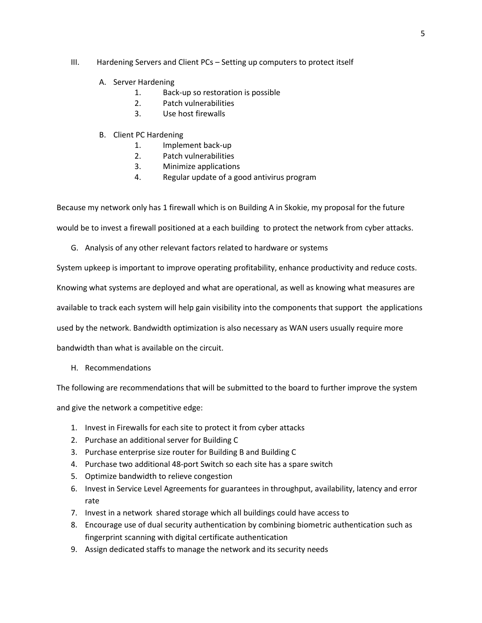## III. Hardening Servers and Client PCs – Setting up computers to protect itself

- A. Server Hardening
	- 1. Back-up so restoration is possible
	- 2. Patch vulnerabilities
	- 3. Use host firewalls

# B. Client PC Hardening

- 1. Implement back-up
- 2. Patch vulnerabilities
- 3. Minimize applications
- 4. Regular update of a good antivirus program

Because my network only has 1 firewall which is on Building A in Skokie, my proposal for the future

would be to invest a firewall positioned at a each building to protect the network from cyber attacks.

G. Analysis of any other relevant factors related to hardware or systems

System upkeep is important to improve operating profitability, enhance productivity and reduce costs.

Knowing what systems are deployed and what are operational, as well as knowing what measures are

available to track each system will help gain visibility into the components that support the applications

used by the network. Bandwidth optimization is also necessary as WAN users usually require more

bandwidth than what is available on the circuit.

H. Recommendations

The following are recommendations that will be submitted to the board to further improve the system

and give the network a competitive edge:

- 1. Invest in Firewalls for each site to protect it from cyber attacks
- 2. Purchase an additional server for Building C
- 3. Purchase enterprise size router for Building B and Building C
- 4. Purchase two additional 48-port Switch so each site has a spare switch
- 5. Optimize bandwidth to relieve congestion
- 6. Invest in Service Level Agreements for guarantees in throughput, availability, latency and error rate
- 7. Invest in a network shared storage which all buildings could have access to
- 8. Encourage use of dual security authentication by combining biometric authentication such as fingerprint scanning with digital certificate authentication
- 9. Assign dedicated staffs to manage the network and its security needs